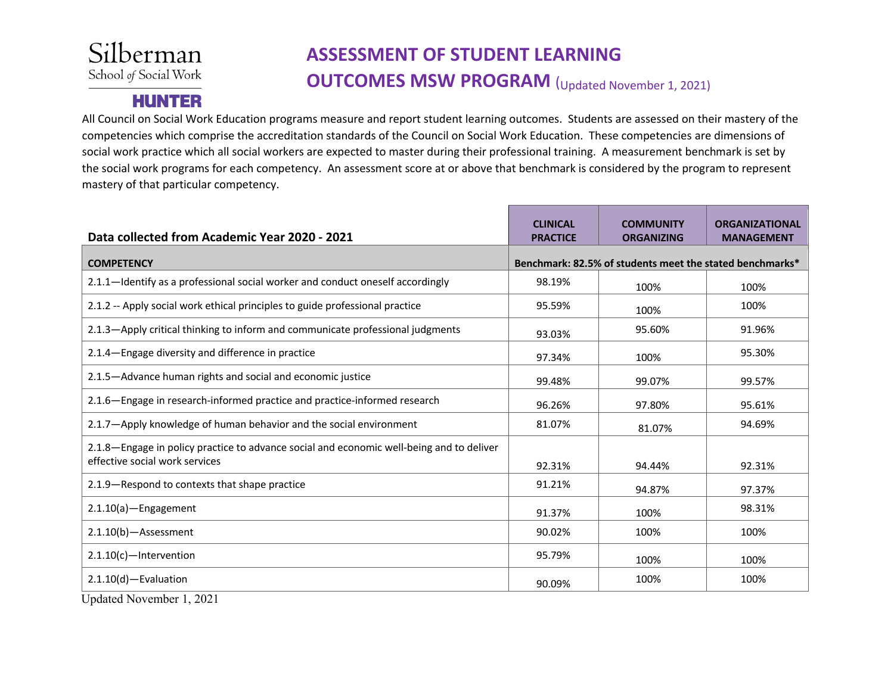## Silberman School of Social Work

**HUNTER** 

## **ASSESSMENT OF STUDENT LEARNING OUTCOMES MSW PROGRAM** (Updated November 1, 2021)

All Council on Social Work Education programs measure and report student learning outcomes. Students are assessed on their mastery of the competencies which comprise the accreditation standards of the Council on Social Work Education. These competencies are dimensions of social work practice which all social workers are expected to master during their professional training. A measurement benchmark is set by the social work programs for each competency. An assessment score at or above that benchmark is considered by the program to represent mastery of that particular competency.

| Data collected from Academic Year 2020 - 2021                                                                              | <b>CLINICAL</b><br><b>PRACTICE</b>                       | <b>COMMUNITY</b><br><b>ORGANIZING</b> | <b>ORGANIZATIONAL</b><br><b>MANAGEMENT</b> |
|----------------------------------------------------------------------------------------------------------------------------|----------------------------------------------------------|---------------------------------------|--------------------------------------------|
| <b>COMPETENCY</b>                                                                                                          | Benchmark: 82.5% of students meet the stated benchmarks* |                                       |                                            |
| 2.1.1—Identify as a professional social worker and conduct oneself accordingly                                             | 98.19%                                                   | 100%                                  | 100%                                       |
| 2.1.2 -- Apply social work ethical principles to guide professional practice                                               | 95.59%                                                   | 100%                                  | 100%                                       |
| 2.1.3-Apply critical thinking to inform and communicate professional judgments                                             | 93.03%                                                   | 95.60%                                | 91.96%                                     |
| 2.1.4-Engage diversity and difference in practice                                                                          | 97.34%                                                   | 100%                                  | 95.30%                                     |
| 2.1.5-Advance human rights and social and economic justice                                                                 | 99.48%                                                   | 99.07%                                | 99.57%                                     |
| 2.1.6—Engage in research-informed practice and practice-informed research                                                  | 96.26%                                                   | 97.80%                                | 95.61%                                     |
| 2.1.7-Apply knowledge of human behavior and the social environment                                                         | 81.07%                                                   | 81.07%                                | 94.69%                                     |
| 2.1.8—Engage in policy practice to advance social and economic well-being and to deliver<br>effective social work services | 92.31%                                                   | 94.44%                                | 92.31%                                     |
| 2.1.9-Respond to contexts that shape practice                                                                              | 91.21%                                                   | 94.87%                                | 97.37%                                     |
| $2.1.10(a)$ -Engagement                                                                                                    | 91.37%                                                   | 100%                                  | 98.31%                                     |
| $2.1.10(b)$ - Assessment                                                                                                   | 90.02%                                                   | 100%                                  | 100%                                       |
| $2.1.10(c)$ -Intervention                                                                                                  | 95.79%                                                   | 100%                                  | 100%                                       |
| $2.1.10(d)$ -Evaluation                                                                                                    | 90.09%                                                   | 100%                                  | 100%                                       |

Updated November 1, 2021